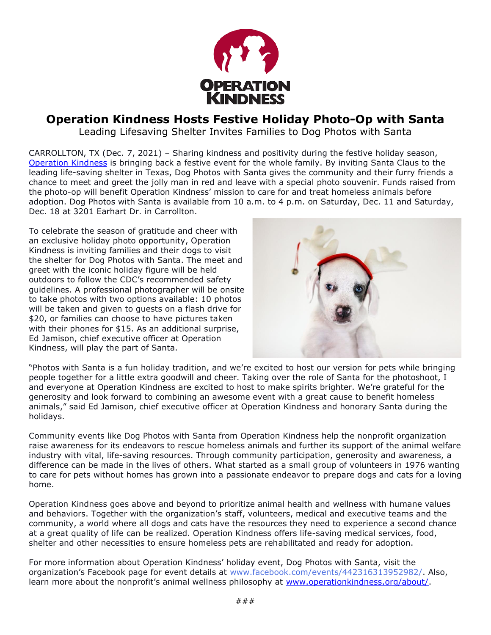

## **Operation Kindness Hosts Festive Holiday Photo-Op with Santa**

Leading Lifesaving Shelter Invites Families to Dog Photos with Santa

CARROLLTON, TX (Dec. 7, 2021) – Sharing kindness and positivity during the festive holiday season, [Operation Kindness](https://www.operationkindness.org/about/?utm_source=PR&utm_medium=Operation+Kindness+PR&utm_campaign=Operation+Kindness+Photos+with+Santa+Campaign&utm_content=Operation+Kindness+Hosts+Festive+Holiday+Photo-Op+with+Santa) is bringing back a festive event for the whole family. By inviting Santa Claus to the leading life-saving shelter in Texas, Dog Photos with Santa gives the community and their furry friends a chance to meet and greet the jolly man in red and leave with a special photo souvenir. Funds raised from the photo-op will benefit Operation Kindness' mission to care for and treat homeless animals before adoption. Dog Photos with Santa is available from 10 a.m. to 4 p.m. on Saturday, Dec. 11 and Saturday, Dec. 18 at 3201 Earhart Dr. in Carrollton.

To celebrate the season of gratitude and cheer with an exclusive holiday photo opportunity, Operation Kindness is inviting families and their dogs to visit the shelter for Dog Photos with Santa. The meet and greet with the iconic holiday figure will be held outdoors to follow the CDC's recommended safety guidelines. A professional photographer will be onsite to take photos with two options available: 10 photos will be taken and given to guests on a flash drive for \$20, or families can choose to have pictures taken with their phones for \$15. As an additional surprise, Ed Jamison, chief executive officer at Operation Kindness, will play the part of Santa.



"Photos with Santa is a fun holiday tradition, and we're excited to host our version for pets while bringing people together for a little extra goodwill and cheer. Taking over the role of Santa for the photoshoot, I and everyone at Operation Kindness are excited to host to make spirits brighter. We're grateful for the generosity and look forward to combining an awesome event with a great cause to benefit homeless animals," said Ed Jamison, chief executive officer at Operation Kindness and honorary Santa during the holidays.

Community events like Dog Photos with Santa from Operation Kindness help the nonprofit organization raise awareness for its endeavors to rescue homeless animals and further its support of the animal welfare industry with vital, life-saving resources. Through community participation, generosity and awareness, a difference can be made in the lives of others. What started as a small group of volunteers in 1976 wanting to care for pets without homes has grown into a passionate endeavor to prepare dogs and cats for a loving home.

Operation Kindness goes above and beyond to prioritize animal health and wellness with humane values and behaviors. Together with the organization's staff, volunteers, medical and executive teams and the community, a world where all dogs and cats have the resources they need to experience a second chance at a great quality of life can be realized. Operation Kindness offers life-saving medical services, food, shelter and other necessities to ensure homeless pets are rehabilitated and ready for adoption.

For more information about Operation Kindness' holiday event, Dog Photos with Santa, visit the organization's Facebook page for event details at [www.facebook.com/events/442316313952982/.](http://www.facebook.com/events/442316313952982/) Also, learn more about the nonprofit's animal wellness philosophy at [www.operationkindness.org/about/.](http://www.operationkindness.org/about/)